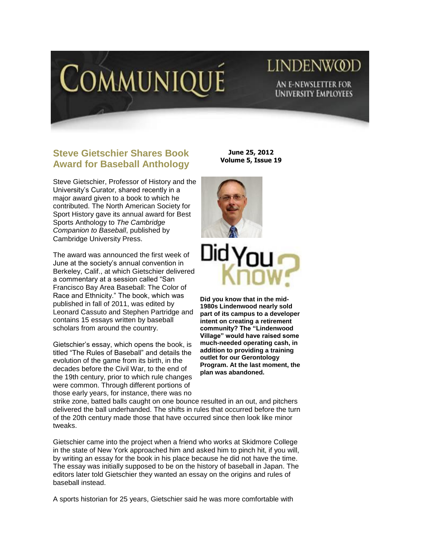

## LINDENW@D AN E-NEWSLETTER FOR **UNIVERSITY EMPLOYEES**

## **Steve Gietschier Shares Book Award for Baseball Anthology**

Steve Gietschier, Professor of History and the University's Curator, shared recently in a major award given to a book to which he contributed. The North American Society for Sport History gave its annual award for Best Sports Anthology to *The Cambridge Companion to Baseball*, published by Cambridge University Press.

The award was announced the first week of June at the society's annual convention in Berkeley, Calif., at which Gietschier delivered a commentary at a session called "San Francisco Bay Area Baseball: The Color of Race and Ethnicity." The book, which was published in fall of 2011, was edited by Leonard Cassuto and Stephen Partridge and contains 15 essays written by baseball scholars from around the country.

Gietschier's essay, which opens the book, is titled "The Rules of Baseball" and details the evolution of the game from its birth, in the decades before the Civil War, to the end of the 19th century, prior to which rule changes were common. Through different portions of those early years, for instance, there was no

**June 25, 2012 Volume 5, Issue 19**





**Did you know that in the mid-1980s Lindenwood nearly sold part of its campus to a developer intent on creating a retirement community? The "Lindenwood Village" would have raised some much-needed operating cash, in addition to providing a training outlet for our Gerontology Program. At the last moment, the plan was abandoned.**

strike zone, batted balls caught on one bounce resulted in an out, and pitchers delivered the ball underhanded. The shifts in rules that occurred before the turn of the 20th century made those that have occurred since then look like minor tweaks.

Gietschier came into the project when a friend who works at Skidmore College in the state of New York approached him and asked him to pinch hit, if you will, by writing an essay for the book in his place because he did not have the time. The essay was initially supposed to be on the history of baseball in Japan. The editors later told Gietschier they wanted an essay on the origins and rules of baseball instead.

A sports historian for 25 years, Gietschier said he was more comfortable with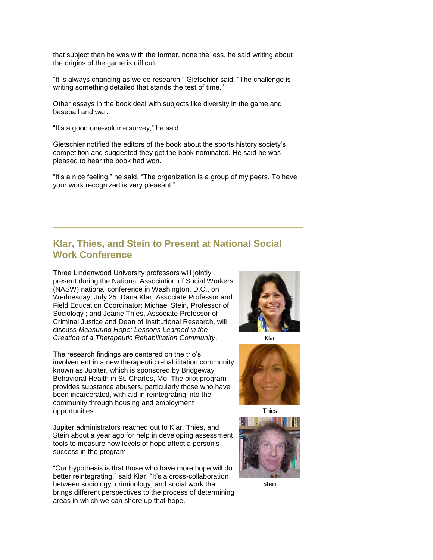that subject than he was with the former, none the less, he said writing about the origins of the game is difficult.

"It is always changing as we do research," Gietschier said. "The challenge is writing something detailed that stands the test of time."

Other essays in the book deal with subjects like diversity in the game and baseball and war.

"It's a good one-volume survey," he said.

Gietschier notified the editors of the book about the sports history society's competition and suggested they get the book nominated. He said he was pleased to hear the book had won.

"It's a nice feeling," he said. "The organization is a group of my peers. To have your work recognized is very pleasant."

## **Klar, Thies, and Stein to Present at National Social Work Conference**

Three Lindenwood University professors will jointly present during the National Association of Social Workers (NASW) national conference in Washington, D.C., on Wednesday, July 25. Dana Klar, Associate Professor and Field Education Coordinator; Michael Stein, Professor of Sociology ; and Jeanie Thies, Associate Professor of Criminal Justice and Dean of Institutional Research, will discuss *Measuring Hope: Lessons Learned in the Creation of a Therapeutic Rehabilitation Community*.

The research findings are centered on the trio's involvement in a new therapeutic rehabilitation community known as Jupiter, which is sponsored by Bridgeway Behavioral Health in St. Charles, Mo. The pilot program provides substance abusers, particularly those who have been incarcerated, with aid in reintegrating into the community through housing and employment opportunities.

Jupiter administrators reached out to Klar, Thies, and Stein about a year ago for help in developing assessment tools to measure how levels of hope affect a person's success in the program

"Our hypothesis is that those who have more hope will do better reintegrating," said Klar. "It's a cross-collaboration between sociology, criminology, and social work that brings different perspectives to the process of determining areas in which we can shore up that hope."



Klar



Thies



Stein